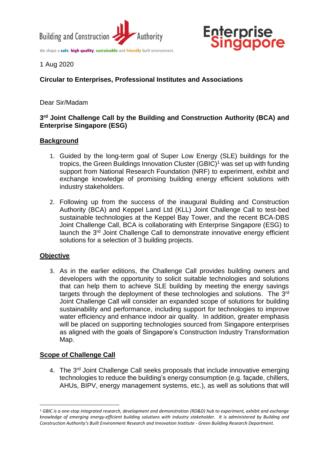

We shape a safe, high quality, sustainable and friendly built environment.



1 Aug 2020

# **Circular to Enterprises, Professional Institutes and Associations**

Dear Sir/Madam

## **3 rd Joint Challenge Call by the Building and Construction Authority (BCA) and Enterprise Singapore (ESG)**

#### **Background**

- 1. Guided by the long-term goal of Super Low Energy (SLE) buildings for the tropics, the Green Buildings Innovation Cluster (GBIC)<sup>1</sup> was set up with funding support from National Research Foundation (NRF) to experiment, exhibit and exchange knowledge of promising building energy efficient solutions with industry stakeholders.
- 2. Following up from the success of the inaugural Building and Construction Authority (BCA) and Keppel Land Ltd (KLL) Joint Challenge Call to test-bed sustainable technologies at the Keppel Bay Tower, and the recent BCA-DBS Joint Challenge Call, BCA is collaborating with Enterprise Singapore (ESG) to launch the 3rd Joint Challenge Call to demonstrate innovative energy efficient solutions for a selection of 3 building projects.

## **Objective**

**.** 

3. As in the earlier editions, the Challenge Call provides building owners and developers with the opportunity to solicit suitable technologies and solutions that can help them to achieve SLE building by meeting the energy savings targets through the deployment of these technologies and solutions. The 3rd Joint Challenge Call will consider an expanded scope of solutions for building sustainability and performance, including support for technologies to improve water efficiency and enhance indoor air quality. In addition, greater emphasis will be placed on supporting technologies sourced from Singapore enterprises as aligned with the goals of Singapore's Construction Industry Transformation Map.

## **Scope of Challenge Call**

4. The 3<sup>rd</sup> Joint Challenge Call seeks proposals that include innovative emerging technologies to reduce the building's energy consumption (e.g. façade, chillers, AHUs, BIPV, energy management systems, etc.), as well as solutions that will

*<sup>1</sup> GBIC is a one-stop integrated research, development and demonstration (RD&D) hub to experiment, exhibit and exchange knowledge of emerging energy-efficient building solutions with industry stakeholder. It is administered by Building and Construction Authority's Built Environment Research and Innovation Institute - Green Building Research Department.*